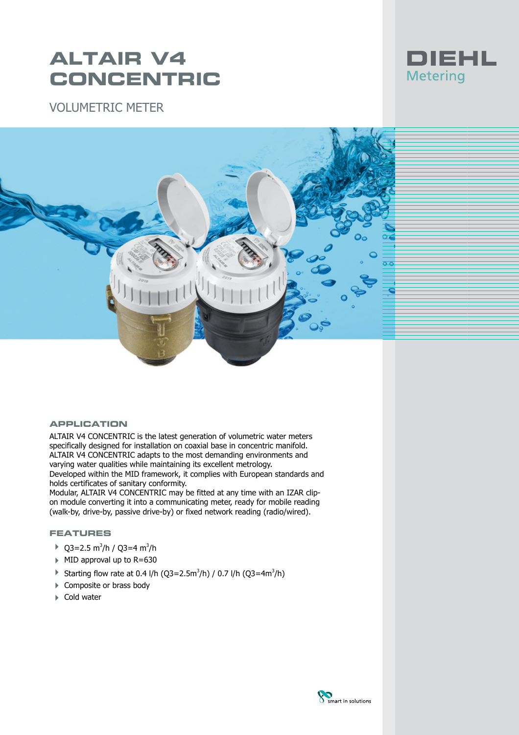## **ALTAIR V4 CONCENTRIC**

VOLUMETRIC METER





#### **APPLICATION**

ALTAIR V4 CONCENTRIC is the latest generation of volumetric water meters specifically designed for installation on coaxial base in concentric manifold. ALTAIR V4 CONCENTRIC adapts to the most demanding environments and varying water qualities while maintaining its excellent metrology.

Developed within the MID framework, it complies with European standards and holds certificates of sanitary conformity.

Modular, ALTAIR V4 CONCENTRIC may be fitted at any time with an IZAR clipon module converting it into a communicating meter, ready for mobile reading (walk-by, drive-by, passive drive-by) or fixed network reading (radio/wired).

### **FEATURES**

- $\triangleright$  Q3=2.5 m<sup>3</sup>/h / Q3=4 m<sup>3</sup>/h
- $\triangleright$  MID approval up to R=630
- Starting flow rate at 0.4 l/h (Q3=2.5m<sup>3</sup>/h) / 0.7 l/h (Q3=4m<sup>3</sup>/h)
- ▶ Composite or brass body
- $\blacktriangleright$  Cold water

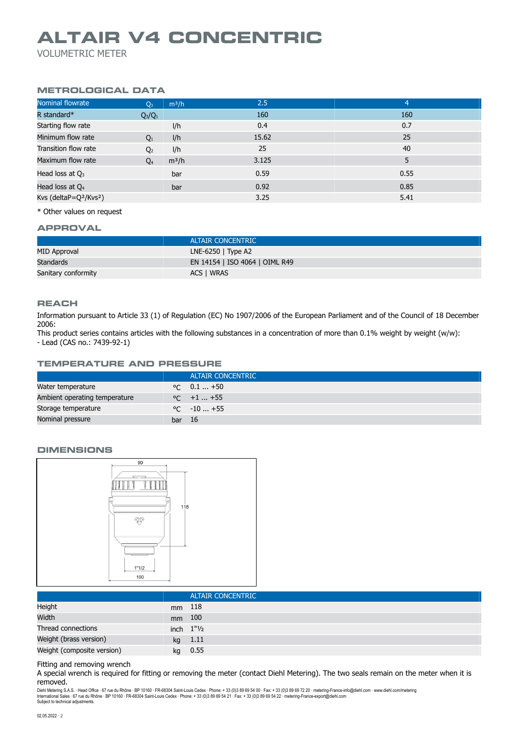### **ALTAIR V4 CONCENTRIC**

VOLUMETRIC METER

#### **METROLOGICAL DATA**

| Nominal flowrate                               | $m^3/h$<br>$Q_3$          | 2.5   | $\overline{4}$ |
|------------------------------------------------|---------------------------|-------|----------------|
| R standard*                                    | $Q_3/Q_1$                 | 160   | 160            |
| Starting flow rate                             | I/h                       | 0.4   | 0.7            |
| Minimum flow rate                              | I/h<br>$Q_1$              | 15.62 | 25             |
| Transition flow rate                           | l/h<br>Q <sub>2</sub>     | 25    | 40             |
| Maximum flow rate                              | $m^3/h$<br>Q <sub>4</sub> | 3.125 | 5              |
| Head loss at $Q_3$                             | bar                       | 0.59  | 0.55           |
| Head loss at $Q_4$                             | bar                       | 0.92  | 0.85           |
| Kvs (deltaP=Q <sup>2</sup> /Kvs <sup>2</sup> ) |                           | 3.25  | 5.41           |

\* Other values on request

#### **APPROVAL**

|                     | <b>ALTAIR CONCENTRIC</b>       |
|---------------------|--------------------------------|
| MID Approval        | LNE-6250 $\mid$ Type A2        |
| Standards           | EN 14154   ISO 4064   OIML R49 |
| Sanitary conformity | ACS I WRAS                     |

#### **REACH**

Information pursuant to Article 33 (1) of Regulation (EC) No 1907/2006 of the European Parliament and of the Council of 18 December 2006:

This product series contains articles with the following substances in a concentration of more than 0.1% weight by weight (w/w): - Lead (CAS no.: 7439-92-1)

#### **TEMPERATURE AND PRESSURE**

|                               |        | <b>ALTAIR CONCENTRIC</b> |
|-------------------------------|--------|--------------------------|
| Water temperature             |        | $\degree$ C 0.1  +50     |
| Ambient operating temperature |        | $\degree$ C +1  +55      |
| Storage temperature           |        | $\degree$ C $-10+55$     |
| Nominal pressure              | bar 16 |                          |

#### **DIMENSIONS**



|                            |        | <b>ALTAIR CONCENTRIC</b>              |
|----------------------------|--------|---------------------------------------|
| Height                     | mm 118 |                                       |
| Width                      | mm 100 |                                       |
| Thread connections         |        | inch $1"$ <sup>1</sup> / <sub>2</sub> |
| Weight (brass version)     |        | kg 1.11                               |
| Weight (composite version) | kg     | 0.55                                  |

#### Fitting and removing wrench

A special wrench is required for fitting or removing the meter (contact Diehl Metering). The two seals remain on the meter when it is removed.

Diehl Metering S.A.S. · Head Office · 67 rue du Rhône · BP 10160 · FR-68304 Saint-Louis Cedex · Phone: + 33 (0)3 89 69 54 00 · Fax: + 33 (0)3 89 69 72 20 · metering-France-info@diehl.com · www.diehl.com/metering<br>Internati Subject to technical adjustments.